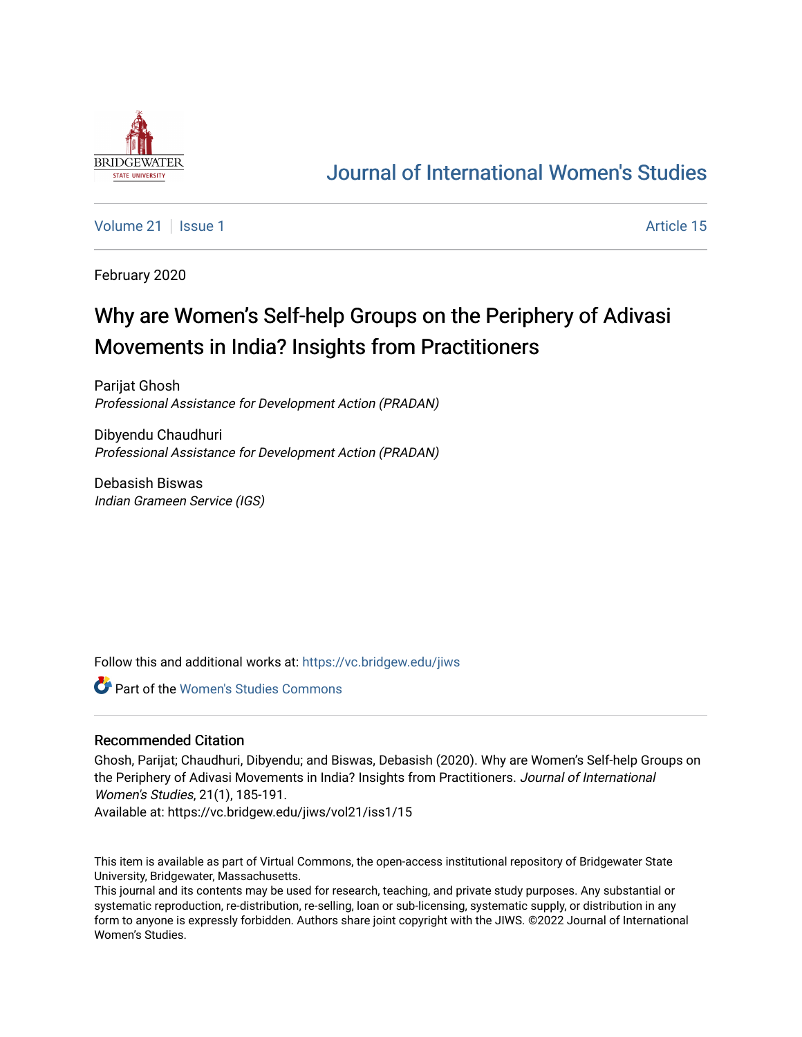

## [Journal of International Women's Studies](https://vc.bridgew.edu/jiws)

[Volume 21](https://vc.bridgew.edu/jiws/vol21) | [Issue 1](https://vc.bridgew.edu/jiws/vol21/iss1) Article 15

February 2020

# Why are Women's Self-help Groups on the Periphery of Adivasi Movements in India? Insights from Practitioners

Parijat Ghosh Professional Assistance for Development Action (PRADAN)

Dibyendu Chaudhuri Professional Assistance for Development Action (PRADAN)

Debasish Biswas Indian Grameen Service (IGS)

Follow this and additional works at: [https://vc.bridgew.edu/jiws](https://vc.bridgew.edu/jiws?utm_source=vc.bridgew.edu%2Fjiws%2Fvol21%2Fiss1%2F15&utm_medium=PDF&utm_campaign=PDFCoverPages)

Part of the [Women's Studies Commons](http://network.bepress.com/hgg/discipline/561?utm_source=vc.bridgew.edu%2Fjiws%2Fvol21%2Fiss1%2F15&utm_medium=PDF&utm_campaign=PDFCoverPages) 

#### Recommended Citation

Ghosh, Parijat; Chaudhuri, Dibyendu; and Biswas, Debasish (2020). Why are Women's Self-help Groups on the Periphery of Adivasi Movements in India? Insights from Practitioners. Journal of International Women's Studies, 21(1), 185-191.

Available at: https://vc.bridgew.edu/jiws/vol21/iss1/15

This item is available as part of Virtual Commons, the open-access institutional repository of Bridgewater State University, Bridgewater, Massachusetts.

This journal and its contents may be used for research, teaching, and private study purposes. Any substantial or systematic reproduction, re-distribution, re-selling, loan or sub-licensing, systematic supply, or distribution in any form to anyone is expressly forbidden. Authors share joint copyright with the JIWS. ©2022 Journal of International Women's Studies.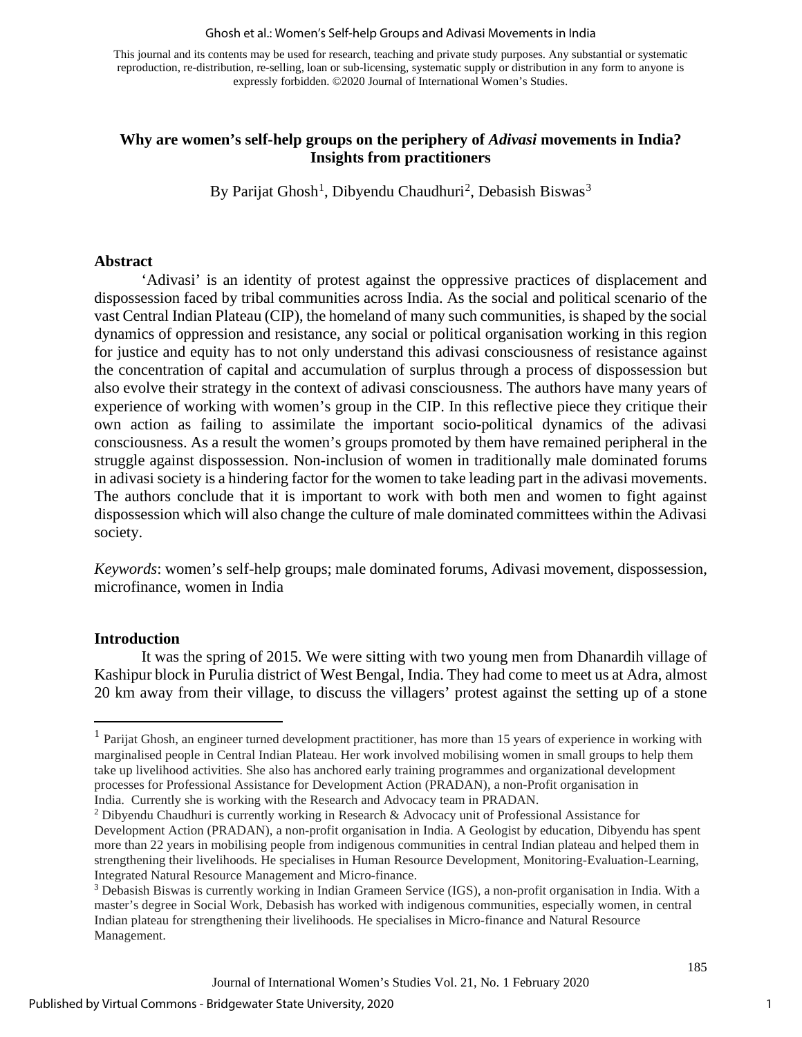#### Ghosh et al.: Women's Self-help Groups and Adivasi Movements in India

This journal and its contents may be used for research, teaching and private study purposes. Any substantial or systematic reproduction, re-distribution, re-selling, loan or sub-licensing, systematic supply or distribution in any form to anyone is expressly forbidden. ©2020 Journal of International Women's Studies.

#### **Why are women's self-help groups on the periphery of** *Adivasi* **movements in India? Insights from practitioners**

By Parijat Ghosh<sup>[1](#page-1-0)</sup>, Dibyendu Chaudhuri<sup>[2](#page-1-1)</sup>, Debasish Biswas<sup>[3](#page-1-2)</sup>

#### **Abstract**

'Adivasi' is an identity of protest against the oppressive practices of displacement and dispossession faced by tribal communities across India. As the social and political scenario of the vast Central Indian Plateau (CIP), the homeland of many such communities, is shaped by the social dynamics of oppression and resistance, any social or political organisation working in this region for justice and equity has to not only understand this adivasi consciousness of resistance against the concentration of capital and accumulation of surplus through a process of dispossession but also evolve their strategy in the context of adivasi consciousness. The authors have many years of experience of working with women's group in the CIP. In this reflective piece they critique their own action as failing to assimilate the important socio-political dynamics of the adivasi consciousness. As a result the women's groups promoted by them have remained peripheral in the struggle against dispossession. Non-inclusion of women in traditionally male dominated forums in adivasi society is a hindering factor for the women to take leading part in the adivasi movements. The authors conclude that it is important to work with both men and women to fight against dispossession which will also change the culture of male dominated committees within the Adivasi society.

*Keywords*: women's self-help groups; male dominated forums, Adivasi movement, dispossession, microfinance, women in India

#### **Introduction**

It was the spring of 2015. We were sitting with two young men from Dhanardih village of Kashipur block in Purulia district of West Bengal, India. They had come to meet us at Adra, almost 20 km away from their village, to discuss the villagers' protest against the setting up of a stone

<span id="page-1-0"></span><sup>&</sup>lt;sup>1</sup> Parijat Ghosh, an engineer turned development practitioner, has more than 15 years of experience in working with marginalised people in Central Indian Plateau. Her work involved mobilising women in small groups to help them take up livelihood activities. She also has anchored early training programmes and organizational development processes for Professional Assistance for Development Action (PRADAN), a non-Profit organisation in India. Currently she is working with the Research and Advocacy team in PRADAN. 2 Dibyendu Chaudhuri is currently working in Research & Advocacy unit of Professional Assistance for

<span id="page-1-1"></span>Development Action (PRADAN), a non-profit organisation in India. A Geologist by education, Dibyendu has spent more than 22 years in mobilising people from indigenous communities in central Indian plateau and helped them in strengthening their livelihoods. He specialises in Human Resource Development, Monitoring-Evaluation-Learning, Integrated Natural Resource Management and Micro-finance.

<span id="page-1-2"></span><sup>3</sup> Debasish Biswas is currently working in Indian Grameen Service (IGS), a non-profit organisation in India. With a master's degree in Social Work, Debasish has worked with indigenous communities, especially women, in central Indian plateau for strengthening their livelihoods. He specialises in Micro-finance and Natural Resource Management.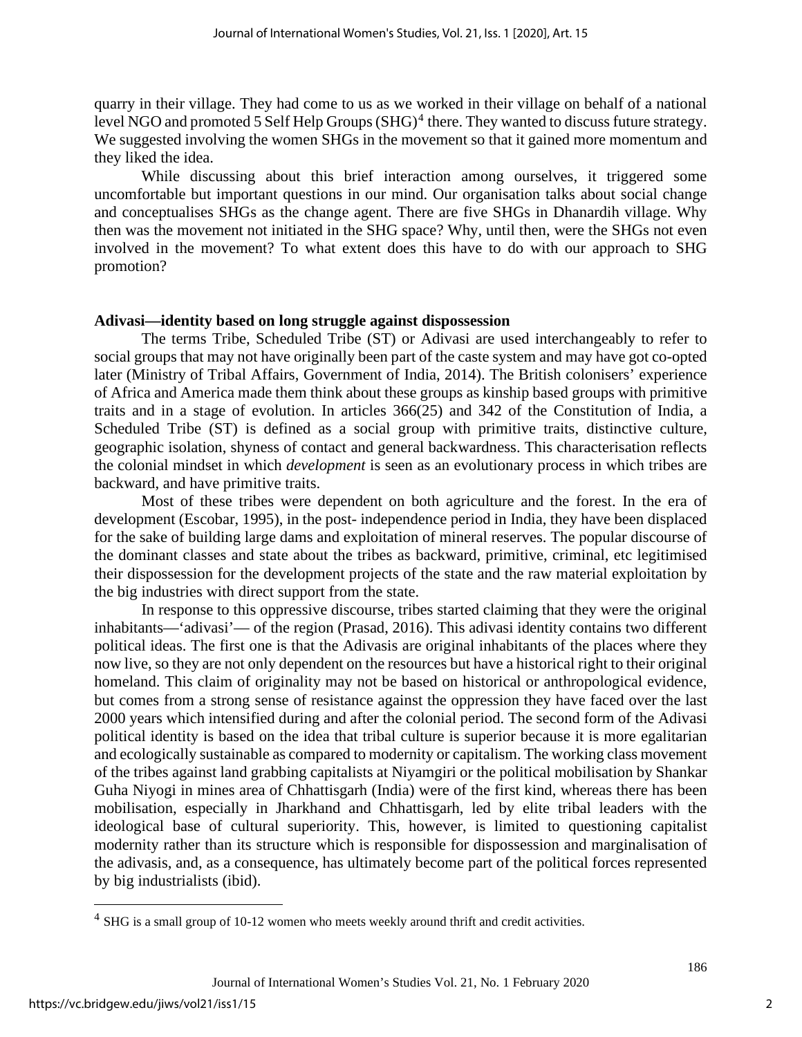quarry in their village. They had come to us as we worked in their village on behalf of a national level NGO and promoted 5 Self Help Groups  $(SHG)^4$  $(SHG)^4$  there. They wanted to discuss future strategy. We suggested involving the women SHGs in the movement so that it gained more momentum and they liked the idea.

While discussing about this brief interaction among ourselves, it triggered some uncomfortable but important questions in our mind. Our organisation talks about social change and conceptualises SHGs as the change agent. There are five SHGs in Dhanardih village. Why then was the movement not initiated in the SHG space? Why, until then, were the SHGs not even involved in the movement? To what extent does this have to do with our approach to SHG promotion?

#### **Adivasi—identity based on long struggle against dispossession**

The terms Tribe, Scheduled Tribe (ST) or Adivasi are used interchangeably to refer to social groups that may not have originally been part of the caste system and may have got co-opted later (Ministry of Tribal Affairs, Government of India, 2014). The British colonisers' experience of Africa and America made them think about these groups as kinship based groups with primitive traits and in a stage of evolution. In articles 366(25) and 342 of the Constitution of India, a Scheduled Tribe (ST) is defined as a social group with primitive traits, distinctive culture, geographic isolation, shyness of contact and general backwardness. This characterisation reflects the colonial mindset in which *development* is seen as an evolutionary process in which tribes are backward, and have primitive traits.

Most of these tribes were dependent on both agriculture and the forest. In the era of development (Escobar, 1995), in the post- independence period in India, they have been displaced for the sake of building large dams and exploitation of mineral reserves. The popular discourse of the dominant classes and state about the tribes as backward, primitive, criminal, etc legitimised their dispossession for the development projects of the state and the raw material exploitation by the big industries with direct support from the state.

In response to this oppressive discourse, tribes started claiming that they were the original inhabitants—'adivasi'— of the region (Prasad, 2016). This adivasi identity contains two different political ideas. The first one is that the Adivasis are original inhabitants of the places where they now live, so they are not only dependent on the resources but have a historical right to their original homeland. This claim of originality may not be based on historical or anthropological evidence, but comes from a strong sense of resistance against the oppression they have faced over the last 2000 years which intensified during and after the colonial period. The second form of the Adivasi political identity is based on the idea that tribal culture is superior because it is more egalitarian and ecologically sustainable as compared to modernity or capitalism. The working class movement of the tribes against land grabbing capitalists at Niyamgiri or the political mobilisation by Shankar Guha Niyogi in mines area of Chhattisgarh (India) were of the first kind, whereas there has been mobilisation, especially in Jharkhand and Chhattisgarh, led by elite tribal leaders with the ideological base of cultural superiority. This, however, is limited to questioning capitalist modernity rather than its structure which is responsible for dispossession and marginalisation of the adivasis, and, as a consequence, has ultimately become part of the political forces represented by big industrialists (ibid).

<span id="page-2-0"></span><sup>4</sup> SHG is a small group of 10-12 women who meets weekly around thrift and credit activities.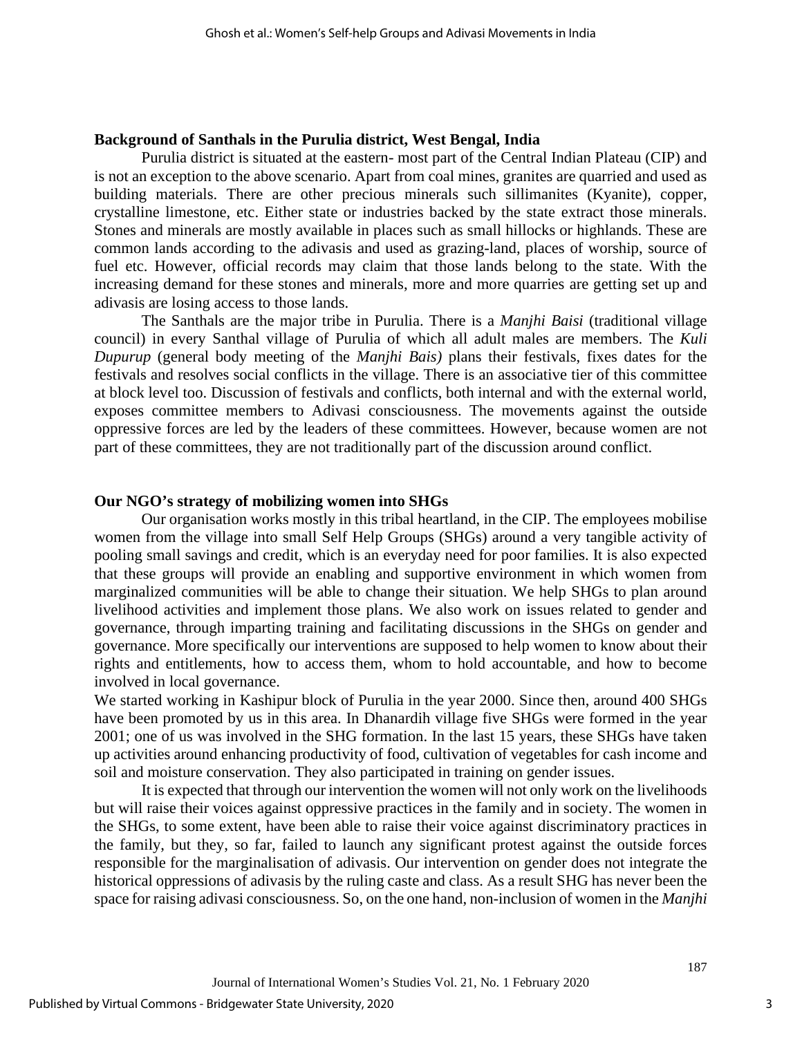#### **Background of Santhals in the Purulia district, West Bengal, India**

Purulia district is situated at the eastern- most part of the Central Indian Plateau (CIP) and is not an exception to the above scenario. Apart from coal mines, granites are quarried and used as building materials. There are other precious minerals such sillimanites (Kyanite), copper, crystalline limestone, etc. Either state or industries backed by the state extract those minerals. Stones and minerals are mostly available in places such as small hillocks or highlands. These are common lands according to the adivasis and used as grazing-land, places of worship, source of fuel etc. However, official records may claim that those lands belong to the state. With the increasing demand for these stones and minerals, more and more quarries are getting set up and adivasis are losing access to those lands.

The Santhals are the major tribe in Purulia. There is a *Manjhi Baisi* (traditional village council) in every Santhal village of Purulia of which all adult males are members. The *Kuli Dupurup* (general body meeting of the *Manjhi Bais)* plans their festivals, fixes dates for the festivals and resolves social conflicts in the village. There is an associative tier of this committee at block level too. Discussion of festivals and conflicts, both internal and with the external world, exposes committee members to Adivasi consciousness. The movements against the outside oppressive forces are led by the leaders of these committees. However, because women are not part of these committees, they are not traditionally part of the discussion around conflict.

#### **Our NGO's strategy of mobilizing women into SHGs**

Our organisation works mostly in this tribal heartland, in the CIP. The employees mobilise women from the village into small Self Help Groups (SHGs) around a very tangible activity of pooling small savings and credit, which is an everyday need for poor families. It is also expected that these groups will provide an enabling and supportive environment in which women from marginalized communities will be able to change their situation. We help SHGs to plan around livelihood activities and implement those plans. We also work on issues related to gender and governance, through imparting training and facilitating discussions in the SHGs on gender and governance. More specifically our interventions are supposed to help women to know about their rights and entitlements, how to access them, whom to hold accountable, and how to become involved in local governance.

We started working in Kashipur block of Purulia in the year 2000. Since then, around 400 SHGs have been promoted by us in this area. In Dhanardih village five SHGs were formed in the year 2001; one of us was involved in the SHG formation. In the last 15 years, these SHGs have taken up activities around enhancing productivity of food, cultivation of vegetables for cash income and soil and moisture conservation. They also participated in training on gender issues.

It is expected that through our intervention the women will not only work on the livelihoods but will raise their voices against oppressive practices in the family and in society. The women in the SHGs, to some extent, have been able to raise their voice against discriminatory practices in the family, but they, so far, failed to launch any significant protest against the outside forces responsible for the marginalisation of adivasis. Our intervention on gender does not integrate the historical oppressions of adivasis by the ruling caste and class. As a result SHG has never been the space for raising adivasi consciousness. So, on the one hand, non-inclusion of women in the *Manjhi*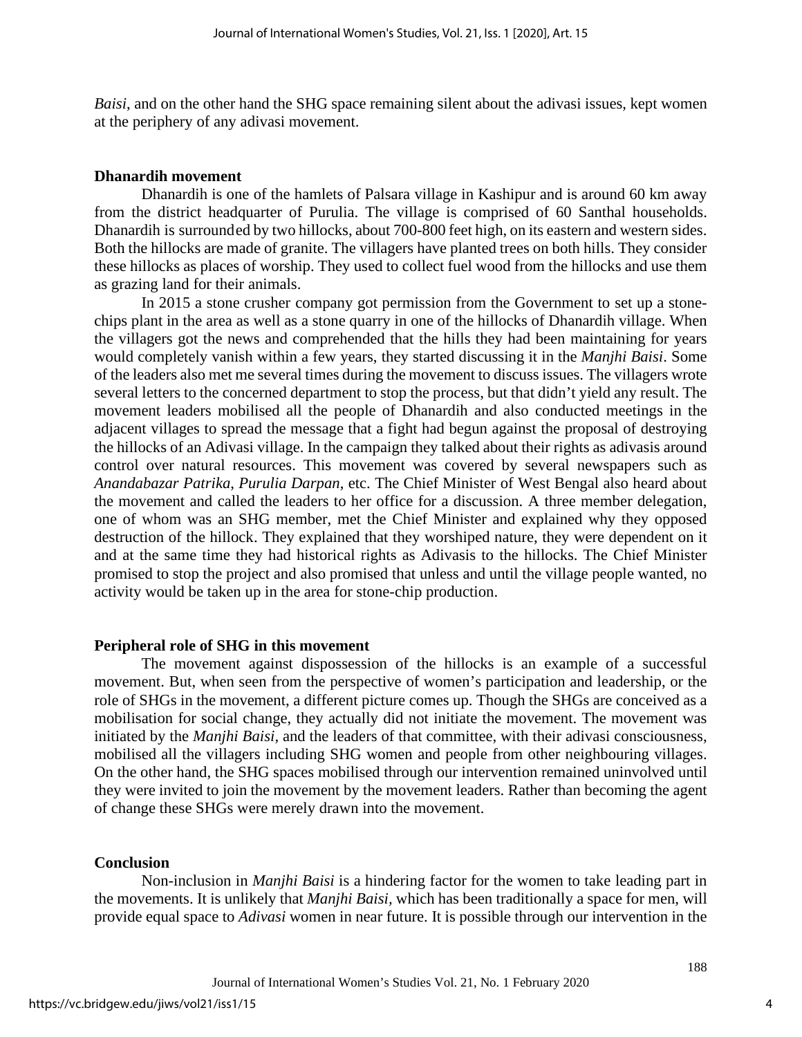*Baisi*, and on the other hand the SHG space remaining silent about the adivasi issues, kept women at the periphery of any adivasi movement.

#### **Dhanardih movement**

Dhanardih is one of the hamlets of Palsara village in Kashipur and is around 60 km away from the district headquarter of Purulia. The village is comprised of 60 Santhal households. Dhanardih is surrounded by two hillocks, about 700-800 feet high, on its eastern and western sides. Both the hillocks are made of granite. The villagers have planted trees on both hills. They consider these hillocks as places of worship. They used to collect fuel wood from the hillocks and use them as grazing land for their animals.

In 2015 a stone crusher company got permission from the Government to set up a stonechips plant in the area as well as a stone quarry in one of the hillocks of Dhanardih village. When the villagers got the news and comprehended that the hills they had been maintaining for years would completely vanish within a few years, they started discussing it in the *Manjhi Baisi*. Some of the leaders also met me several times during the movement to discuss issues. The villagers wrote several letters to the concerned department to stop the process, but that didn't yield any result. The movement leaders mobilised all the people of Dhanardih and also conducted meetings in the adjacent villages to spread the message that a fight had begun against the proposal of destroying the hillocks of an Adivasi village. In the campaign they talked about their rights as adivasis around control over natural resources. This movement was covered by several newspapers such as *Anandabazar Patrika*, *Purulia Darpan*, etc. The Chief Minister of West Bengal also heard about the movement and called the leaders to her office for a discussion. A three member delegation, one of whom was an SHG member, met the Chief Minister and explained why they opposed destruction of the hillock. They explained that they worshiped nature, they were dependent on it and at the same time they had historical rights as Adivasis to the hillocks. The Chief Minister promised to stop the project and also promised that unless and until the village people wanted, no activity would be taken up in the area for stone-chip production.

#### **Peripheral role of SHG in this movement**

The movement against dispossession of the hillocks is an example of a successful movement. But, when seen from the perspective of women's participation and leadership, or the role of SHGs in the movement, a different picture comes up. Though the SHGs are conceived as a mobilisation for social change, they actually did not initiate the movement. The movement was initiated by the *Manjhi Baisi,* and the leaders of that committee, with their adivasi consciousness, mobilised all the villagers including SHG women and people from other neighbouring villages. On the other hand, the SHG spaces mobilised through our intervention remained uninvolved until they were invited to join the movement by the movement leaders. Rather than becoming the agent of change these SHGs were merely drawn into the movement.

### **Conclusion**

Non-inclusion in *Manjhi Baisi* is a hindering factor for the women to take leading part in the movements. It is unlikely that *Manjhi Baisi,* which has been traditionally a space for men, will provide equal space to *Adivasi* women in near future. It is possible through our intervention in the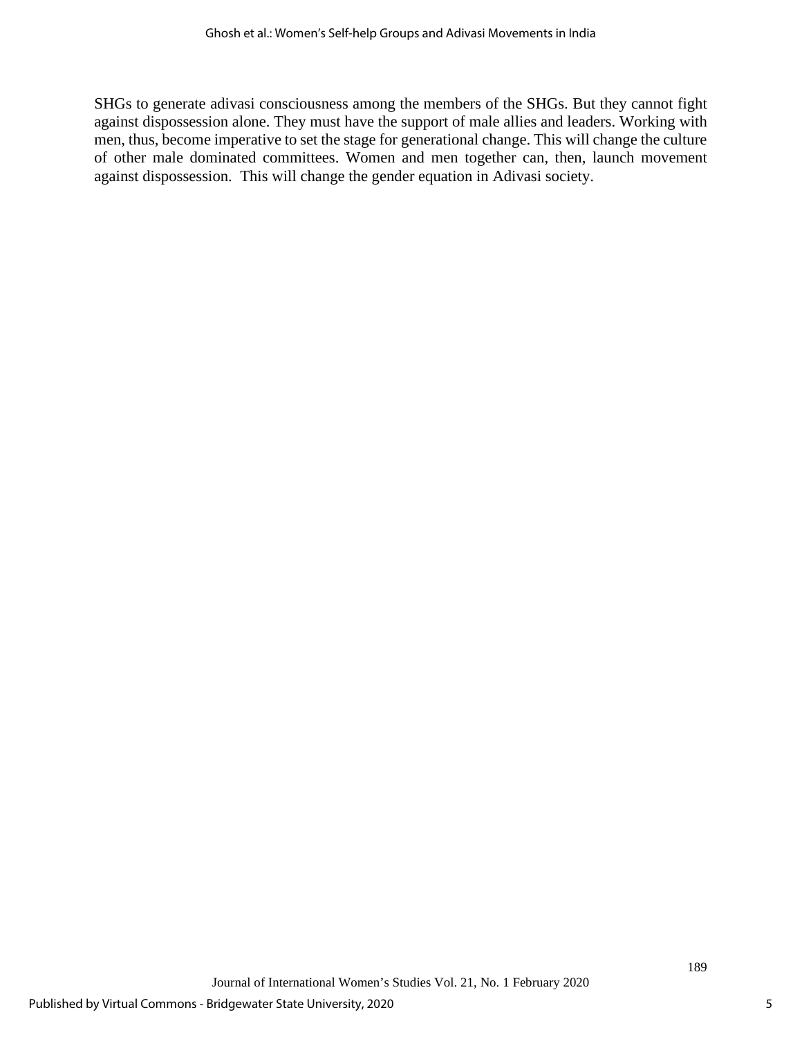SHGs to generate adivasi consciousness among the members of the SHGs. But they cannot fight against dispossession alone. They must have the support of male allies and leaders. Working with men, thus, become imperative to set the stage for generational change. This will change the culture of other male dominated committees. Women and men together can, then, launch movement against dispossession. This will change the gender equation in Adivasi society.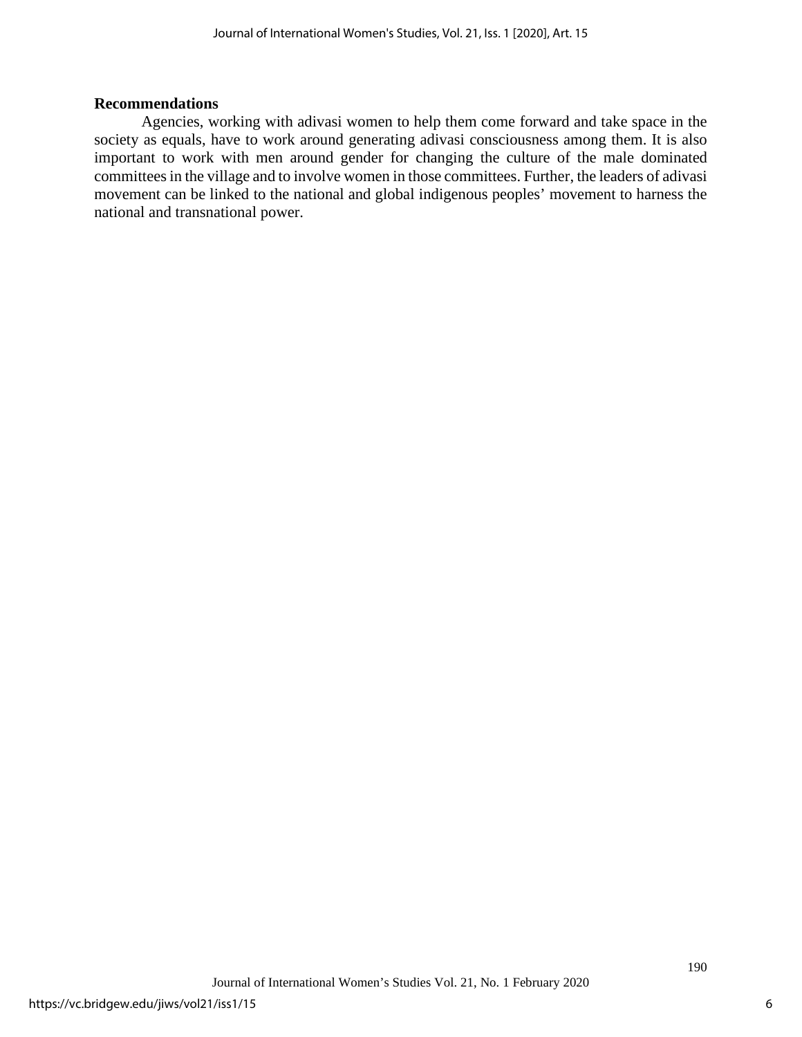#### **Recommendations**

Agencies, working with adivasi women to help them come forward and take space in the society as equals, have to work around generating adivasi consciousness among them. It is also important to work with men around gender for changing the culture of the male dominated committeesin the village and to involve women in those committees. Further, the leaders of adivasi movement can be linked to the national and global indigenous peoples' movement to harness the national and transnational power.